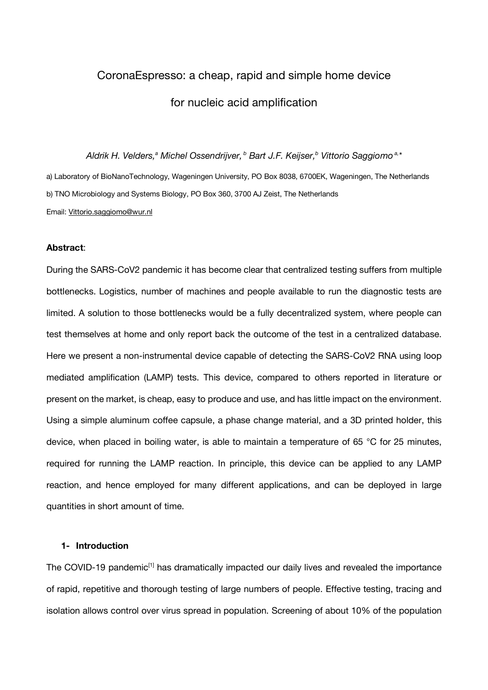# CoronaEspresso: a cheap, rapid and simple home device for nucleic acid amplification

*Aldrik H. Velders,a Michel Ossendrijver, <sup>b</sup> Bart J.F. Keijser, <sup>b</sup> Vittorio Saggiomo a,\**

a) Laboratory of BioNanoTechnology, Wageningen University, PO Box 8038, 6700EK, Wageningen, The Netherlands b) TNO Microbiology and Systems Biology, PO Box 360, 3700 AJ Zeist, The Netherlands Email: Vittorio.saggiomo@wur.nl

## **Abstract**:

During the SARS-CoV2 pandemic it has become clear that centralized testing suffers from multiple bottlenecks. Logistics, number of machines and people available to run the diagnostic tests are limited. A solution to those bottlenecks would be a fully decentralized system, where people can test themselves at home and only report back the outcome of the test in a centralized database. Here we present a non-instrumental device capable of detecting the SARS-CoV2 RNA using loop mediated amplification (LAMP) tests. This device, compared to others reported in literature or present on the market, is cheap, easy to produce and use, and has little impact on the environment. Using a simple aluminum coffee capsule, a phase change material, and a 3D printed holder, this device, when placed in boiling water, is able to maintain a temperature of 65 °C for 25 minutes, required for running the LAMP reaction. In principle, this device can be applied to any LAMP reaction, and hence employed for many different applications, and can be deployed in large quantities in short amount of time.

# **1- Introduction**

The COVID-19 pandemic<sup>[1]</sup> has dramatically impacted our daily lives and revealed the importance of rapid, repetitive and thorough testing of large numbers of people. Effective testing, tracing and isolation allows control over virus spread in population. Screening of about 10% of the population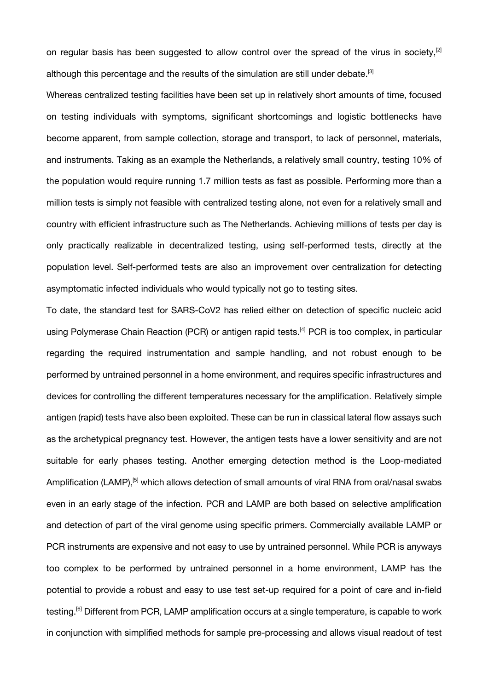on regular basis has been suggested to allow control over the spread of the virus in society,<sup>[2]</sup> although this percentage and the results of the simulation are still under debate.<sup>[3]</sup>

Whereas centralized testing facilities have been set up in relatively short amounts of time, focused on testing individuals with symptoms, significant shortcomings and logistic bottlenecks have become apparent, from sample collection, storage and transport, to lack of personnel, materials, and instruments. Taking as an example the Netherlands, a relatively small country, testing 10% of the population would require running 1.7 million tests as fast as possible. Performing more than a million tests is simply not feasible with centralized testing alone, not even for a relatively small and country with efficient infrastructure such as The Netherlands. Achieving millions of tests per day is only practically realizable in decentralized testing, using self-performed tests, directly at the population level. Self-performed tests are also an improvement over centralization for detecting asymptomatic infected individuals who would typically not go to testing sites.

To date, the standard test for SARS-CoV2 has relied either on detection of specific nucleic acid using Polymerase Chain Reaction (PCR) or antigen rapid tests.<sup>[4]</sup> PCR is too complex, in particular regarding the required instrumentation and sample handling, and not robust enough to be performed by untrained personnel in a home environment, and requires specific infrastructures and devices for controlling the different temperatures necessary for the amplification. Relatively simple antigen (rapid) tests have also been exploited. These can be run in classical lateral flow assays such as the archetypical pregnancy test. However, the antigen tests have a lower sensitivity and are not suitable for early phases testing. Another emerging detection method is the Loop-mediated Amplification (LAMP),<sup>[5]</sup> which allows detection of small amounts of viral RNA from oral/nasal swabs even in an early stage of the infection. PCR and LAMP are both based on selective amplification and detection of part of the viral genome using specific primers. Commercially available LAMP or PCR instruments are expensive and not easy to use by untrained personnel. While PCR is anyways too complex to be performed by untrained personnel in a home environment, LAMP has the potential to provide a robust and easy to use test set-up required for a point of care and in-field testing.<sup>[6]</sup> Different from PCR, LAMP amplification occurs at a single temperature, is capable to work in conjunction with simplified methods for sample pre-processing and allows visual readout of test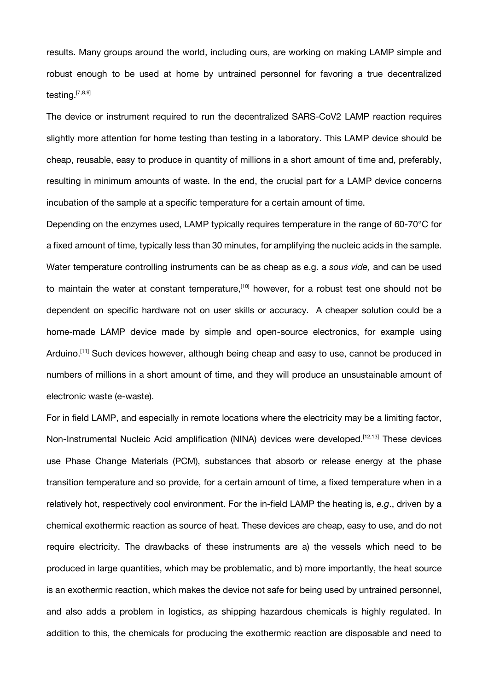results. Many groups around the world, including ours, are working on making LAMP simple and robust enough to be used at home by untrained personnel for favoring a true decentralized testing.<sup>[7,8,9]</sup>

The device or instrument required to run the decentralized SARS-CoV2 LAMP reaction requires slightly more attention for home testing than testing in a laboratory. This LAMP device should be cheap, reusable, easy to produce in quantity of millions in a short amount of time and, preferably, resulting in minimum amounts of waste. In the end, the crucial part for a LAMP device concerns incubation of the sample at a specific temperature for a certain amount of time.

Depending on the enzymes used, LAMP typically requires temperature in the range of 60-70°C for a fixed amount of time, typically less than 30 minutes, for amplifying the nucleic acids in the sample. Water temperature controlling instruments can be as cheap as e.g. a *sous vide,* and can be used to maintain the water at constant temperature,<sup>[10]</sup> however, for a robust test one should not be dependent on specific hardware not on user skills or accuracy. A cheaper solution could be a home-made LAMP device made by simple and open-source electronics, for example using Arduino.<sup>[11]</sup> Such devices however, although being cheap and easy to use, cannot be produced in numbers of millions in a short amount of time, and they will produce an unsustainable amount of electronic waste (e-waste).

For in field LAMP, and especially in remote locations where the electricity may be a limiting factor, Non-Instrumental Nucleic Acid amplification (NINA) devices were developed.<sup>[12,13]</sup> These devices use Phase Change Materials (PCM), substances that absorb or release energy at the phase transition temperature and so provide, for a certain amount of time, a fixed temperature when in a relatively hot, respectively cool environment. For the in-field LAMP the heating is, *e.g*., driven by a chemical exothermic reaction as source of heat. These devices are cheap, easy to use, and do not require electricity. The drawbacks of these instruments are a) the vessels which need to be produced in large quantities, which may be problematic, and b) more importantly, the heat source is an exothermic reaction, which makes the device not safe for being used by untrained personnel, and also adds a problem in logistics, as shipping hazardous chemicals is highly regulated. In addition to this, the chemicals for producing the exothermic reaction are disposable and need to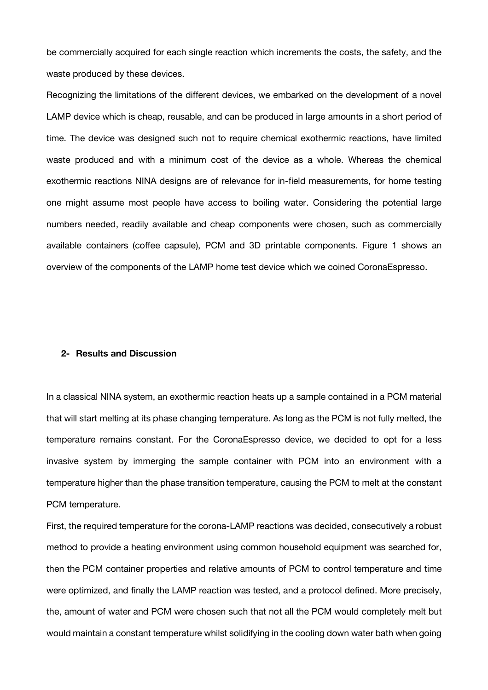be commercially acquired for each single reaction which increments the costs, the safety, and the waste produced by these devices.

Recognizing the limitations of the different devices, we embarked on the development of a novel LAMP device which is cheap, reusable, and can be produced in large amounts in a short period of time. The device was designed such not to require chemical exothermic reactions, have limited waste produced and with a minimum cost of the device as a whole. Whereas the chemical exothermic reactions NINA designs are of relevance for in-field measurements, for home testing one might assume most people have access to boiling water. Considering the potential large numbers needed, readily available and cheap components were chosen, such as commercially available containers (coffee capsule), PCM and 3D printable components. Figure 1 shows an overview of the components of the LAMP home test device which we coined CoronaEspresso.

## **2- Results and Discussion**

In a classical NINA system, an exothermic reaction heats up a sample contained in a PCM material that will start melting at its phase changing temperature. As long as the PCM is not fully melted, the temperature remains constant. For the CoronaEspresso device, we decided to opt for a less invasive system by immerging the sample container with PCM into an environment with a temperature higher than the phase transition temperature, causing the PCM to melt at the constant PCM temperature.

First, the required temperature for the corona-LAMP reactions was decided, consecutively a robust method to provide a heating environment using common household equipment was searched for, then the PCM container properties and relative amounts of PCM to control temperature and time were optimized, and finally the LAMP reaction was tested, and a protocol defined. More precisely, the, amount of water and PCM were chosen such that not all the PCM would completely melt but would maintain a constant temperature whilst solidifying in the cooling down water bath when going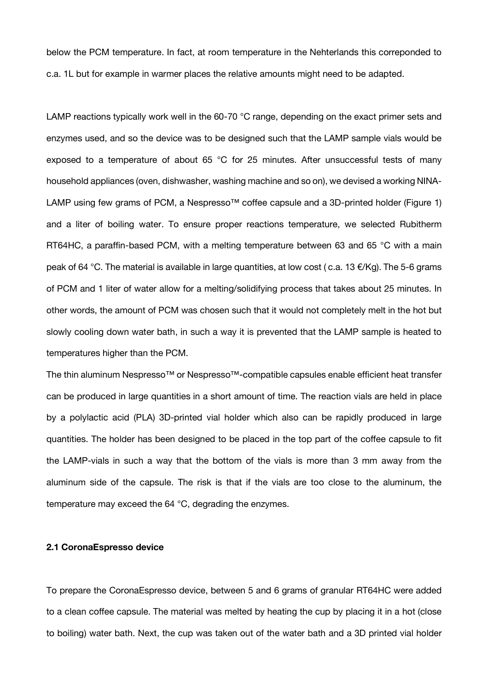below the PCM temperature. In fact, at room temperature in the Nehterlands this correponded to c.a. 1L but for example in warmer places the relative amounts might need to be adapted.

LAMP reactions typically work well in the 60-70 °C range, depending on the exact primer sets and enzymes used, and so the device was to be designed such that the LAMP sample vials would be exposed to a temperature of about 65 °C for 25 minutes. After unsuccessful tests of many household appliances (oven, dishwasher, washing machine and so on), we devised a working NINA-LAMP using few grams of PCM, a Nespresso<sup>™</sup> coffee capsule and a 3D-printed holder (Figure 1) and a liter of boiling water. To ensure proper reactions temperature, we selected Rubitherm RT64HC, a paraffin-based PCM, with a melting temperature between 63 and 65 °C with a main peak of 64 °C. The material is available in large quantities, at low cost (c.a. 13 €/Kg). The 5-6 grams of PCM and 1 liter of water allow for a melting/solidifying process that takes about 25 minutes. In other words, the amount of PCM was chosen such that it would not completely melt in the hot but slowly cooling down water bath, in such a way it is prevented that the LAMP sample is heated to temperatures higher than the PCM.

The thin aluminum Nespresso™ or Nespresso™-compatible capsules enable efficient heat transfer can be produced in large quantities in a short amount of time. The reaction vials are held in place by a polylactic acid (PLA) 3D-printed vial holder which also can be rapidly produced in large quantities. The holder has been designed to be placed in the top part of the coffee capsule to fit the LAMP-vials in such a way that the bottom of the vials is more than 3 mm away from the aluminum side of the capsule. The risk is that if the vials are too close to the aluminum, the temperature may exceed the 64 °C, degrading the enzymes.

#### **2.1 CoronaEspresso device**

To prepare the CoronaEspresso device, between 5 and 6 grams of granular RT64HC were added to a clean coffee capsule. The material was melted by heating the cup by placing it in a hot (close to boiling) water bath. Next, the cup was taken out of the water bath and a 3D printed vial holder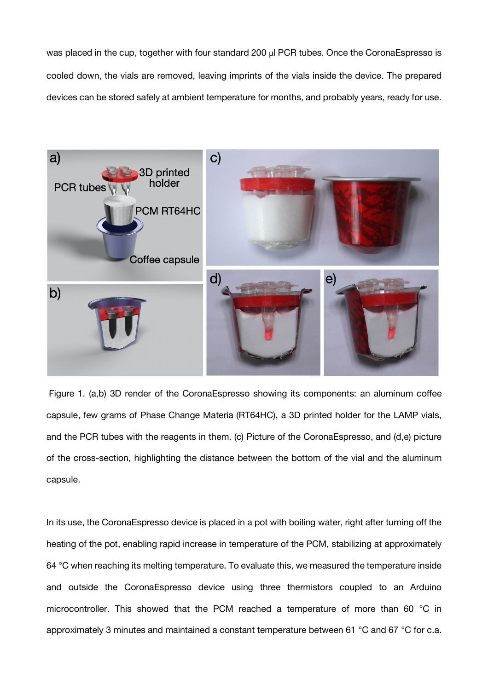was placed in the cup, together with four standard 200 µl PCR tubes. Once the CoronaEspresso is cooled down, the vials are removed, leaving imprints of the vials inside the device. The prepared devices can be stored safely at ambient temperature for months, and probably years, ready for use.



Figure 1. (a,b) 3D render of the CoronaEspresso showing its components: an aluminum coffee capsule, few grams of Phase Change Materia (RT64HC), a 3D printed holder for the LAMP vials, and the PCR tubes with the reagents in them. (c) Picture of the CoronaEspresso, and (d,e) picture of the cross-section, highlighting the distance between the bottom of the vial and the aluminum capsule.

In its use, the CoronaEspresso device is placed in a pot with boiling water, right after turning off the heating of the pot, enabling rapid increase in temperature of the PCM, stabilizing at approximately 64 °C when reaching its melting temperature. To evaluate this, we measured the temperature inside and outside the CoronaEspresso device using three thermistors coupled to an Arduino microcontroller. This showed that the PCM reached a temperature of more than 60 °C in approximately 3 minutes and maintained a constant temperature between 61 °C and 67 °C for c.a.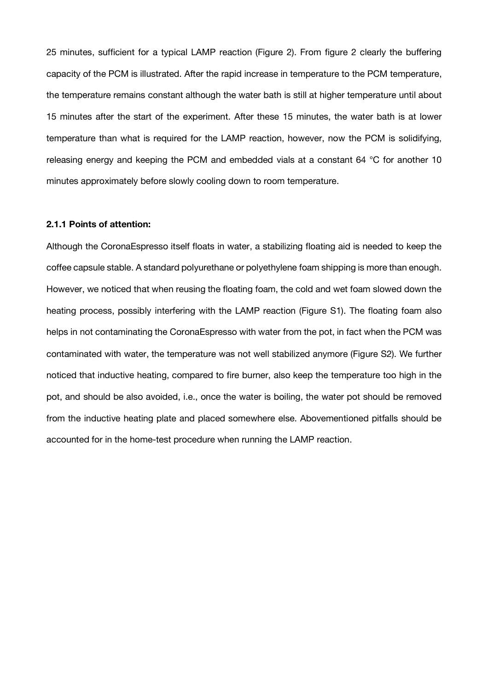25 minutes, sufficient for a typical LAMP reaction (Figure 2). From figure 2 clearly the buffering capacity of the PCM is illustrated. After the rapid increase in temperature to the PCM temperature, the temperature remains constant although the water bath is still at higher temperature until about 15 minutes after the start of the experiment. After these 15 minutes, the water bath is at lower temperature than what is required for the LAMP reaction, however, now the PCM is solidifying, releasing energy and keeping the PCM and embedded vials at a constant 64 °C for another 10 minutes approximately before slowly cooling down to room temperature.

## **2.1.1 Points of attention:**

Although the CoronaEspresso itself floats in water, a stabilizing floating aid is needed to keep the coffee capsule stable. A standard polyurethane or polyethylene foam shipping is more than enough. However, we noticed that when reusing the floating foam, the cold and wet foam slowed down the heating process, possibly interfering with the LAMP reaction (Figure S1). The floating foam also helps in not contaminating the CoronaEspresso with water from the pot, in fact when the PCM was contaminated with water, the temperature was not well stabilized anymore (Figure S2). We further noticed that inductive heating, compared to fire burner, also keep the temperature too high in the pot, and should be also avoided, i.e., once the water is boiling, the water pot should be removed from the inductive heating plate and placed somewhere else. Abovementioned pitfalls should be accounted for in the home-test procedure when running the LAMP reaction.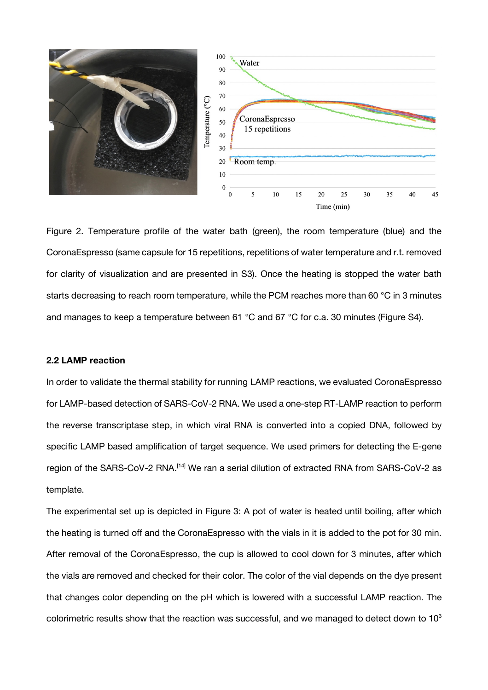

Figure 2. Temperature profile of the water bath (green), the room temperature (blue) and the CoronaEspresso (same capsule for 15 repetitions, repetitions of water temperature and r.t. removed for clarity of visualization and are presented in S3). Once the heating is stopped the water bath starts decreasing to reach room temperature, while the PCM reaches more than 60 °C in 3 minutes and manages to keep a temperature between 61 °C and 67 °C for c.a. 30 minutes (Figure S4).

# **2.2 LAMP reaction**

In order to validate the thermal stability for running LAMP reactions, we evaluated CoronaEspresso for LAMP-based detection of SARS-CoV-2 RNA. We used a one-step RT-LAMP reaction to perform the reverse transcriptase step, in which viral RNA is converted into a copied DNA, followed by specific LAMP based amplification of target sequence. We used primers for detecting the E-gene region of the SARS-CoV-2 RNA.<sup>[14]</sup> We ran a serial dilution of extracted RNA from SARS-CoV-2 as template.

The experimental set up is depicted in Figure 3: A pot of water is heated until boiling, after which the heating is turned off and the CoronaEspresso with the vials in it is added to the pot for 30 min. After removal of the CoronaEspresso, the cup is allowed to cool down for 3 minutes, after which the vials are removed and checked for their color. The color of the vial depends on the dye present that changes color depending on the pH which is lowered with a successful LAMP reaction. The colorimetric results show that the reaction was successful, and we managed to detect down to  $10<sup>3</sup>$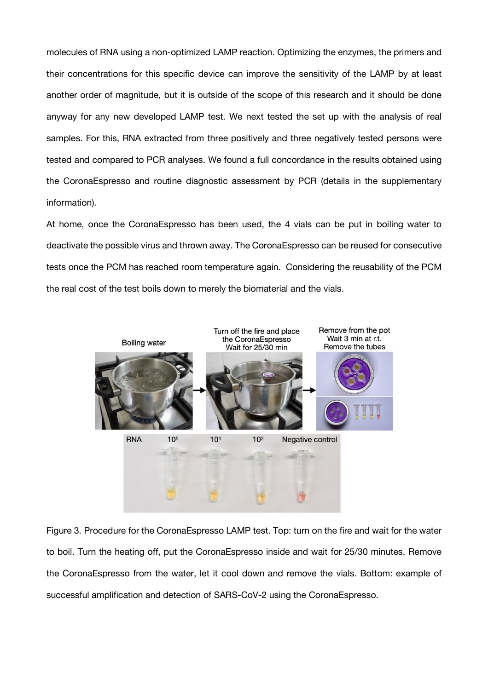molecules of RNA using a non-optimized LAMP reaction. Optimizing the enzymes, the primers and their concentrations for this specific device can improve the sensitivity of the LAMP by at least another order of magnitude, but it is outside of the scope of this research and it should be done anyway for any new developed LAMP test. We next tested the set up with the analysis of real samples. For this, RNA extracted from three positively and three negatively tested persons were tested and compared to PCR analyses. We found a full concordance in the results obtained using the CoronaEspresso and routine diagnostic assessment by PCR (details in the supplementary information).

At home, once the CoronaEspresso has been used, the 4 vials can be put in boiling water to deactivate the possible virus and thrown away. The CoronaEspresso can be reused for consecutive tests once the PCM has reached room temperature again. Considering the reusability of the PCM the real cost of the test boils down to merely the biomaterial and the vials.



Figure 3. Procedure for the CoronaEspresso LAMP test. Top: turn on the fire and wait for the water to boil. Turn the heating off, put the CoronaEspresso inside and wait for 25/30 minutes. Remove the CoronaEspresso from the water, let it cool down and remove the vials. Bottom: example of successful amplification and detection of SARS-CoV-2 using the CoronaEspresso.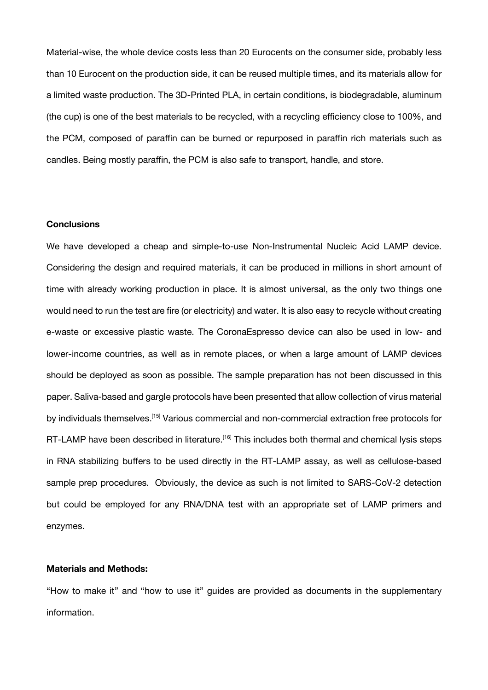Material-wise, the whole device costs less than 20 Eurocents on the consumer side, probably less than 10 Eurocent on the production side, it can be reused multiple times, and its materials allow for a limited waste production. The 3D-Printed PLA, in certain conditions, is biodegradable, aluminum (the cup) is one of the best materials to be recycled, with a recycling efficiency close to 100%, and the PCM, composed of paraffin can be burned or repurposed in paraffin rich materials such as candles. Being mostly paraffin, the PCM is also safe to transport, handle, and store.

## **Conclusions**

We have developed a cheap and simple-to-use Non-Instrumental Nucleic Acid LAMP device. Considering the design and required materials, it can be produced in millions in short amount of time with already working production in place. It is almost universal, as the only two things one would need to run the test are fire (or electricity) and water. It is also easy to recycle without creating e-waste or excessive plastic waste. The CoronaEspresso device can also be used in low- and lower-income countries, as well as in remote places, or when a large amount of LAMP devices should be deployed as soon as possible. The sample preparation has not been discussed in this paper. Saliva-based and gargle protocols have been presented that allow collection of virus material by individuals themselves.<sup>[15]</sup> Various commercial and non-commercial extraction free protocols for RT-LAMP have been described in literature.<sup>[16]</sup> This includes both thermal and chemical lysis steps in RNA stabilizing buffers to be used directly in the RT-LAMP assay, as well as cellulose-based sample prep procedures. Obviously, the device as such is not limited to SARS-CoV-2 detection but could be employed for any RNA/DNA test with an appropriate set of LAMP primers and enzymes.

# **Materials and Methods:**

"How to make it" and "how to use it" guides are provided as documents in the supplementary information.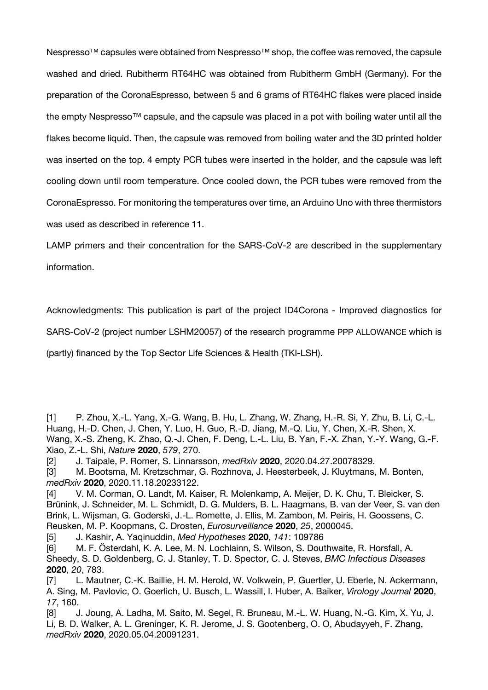Nespresso™ capsules were obtained from Nespresso™ shop, the coffee was removed, the capsule washed and dried. Rubitherm RT64HC was obtained from Rubitherm GmbH (Germany). For the preparation of the CoronaEspresso, between 5 and 6 grams of RT64HC flakes were placed inside the empty Nespresso™ capsule, and the capsule was placed in a pot with boiling water until all the flakes become liquid. Then, the capsule was removed from boiling water and the 3D printed holder was inserted on the top. 4 empty PCR tubes were inserted in the holder, and the capsule was left cooling down until room temperature. Once cooled down, the PCR tubes were removed from the CoronaEspresso. For monitoring the temperatures over time, an Arduino Uno with three thermistors was used as described in reference 11.

LAMP primers and their concentration for the SARS-CoV-2 are described in the supplementary information.

Acknowledgments: This publication is part of the project ID4Corona - Improved diagnostics for

SARS-CoV-2 (project number LSHM20057) of the research programme PPP ALLOWANCE which is

(partly) financed by the Top Sector Life Sciences & Health (TKI-LSH).

- [1] P. Zhou, X.-L. Yang, X.-G. Wang, B. Hu, L. Zhang, W. Zhang, H.-R. Si, Y. Zhu, B. Li, C.-L. Huang, H.-D. Chen, J. Chen, Y. Luo, H. Guo, R.-D. Jiang, M.-Q. Liu, Y. Chen, X.-R. Shen, X. Wang, X.-S. Zheng, K. Zhao, Q.-J. Chen, F. Deng, L.-L. Liu, B. Yan, F.-X. Zhan, Y.-Y. Wang, G.-F. Xiao, Z.-L. Shi, *Nature* **2020**, *579*, 270.
- [2] J. Taipale, P. Romer, S. Linnarsson, *medRxiv* **2020**, 2020.04.27.20078329.
- [3] M. Bootsma, M. Kretzschmar, G. Rozhnova, J. Heesterbeek, J. Kluytmans, M. Bonten, *medRxiv* **2020**, 2020.11.18.20233122.
- [4] V. M. Corman, O. Landt, M. Kaiser, R. Molenkamp, A. Meijer, D. K. Chu, T. Bleicker, S. Brünink, J. Schneider, M. L. Schmidt, D. G. Mulders, B. L. Haagmans, B. van der Veer, S. van den Brink, L. Wijsman, G. Goderski, J.-L. Romette, J. Ellis, M. Zambon, M. Peiris, H. Goossens, C. Reusken, M. P. Koopmans, C. Drosten, *Eurosurveillance* **2020**, *25*, 2000045.
- [5] J. Kashir, A. Yaqinuddin, *Med Hypotheses* **2020**, *141*: 109786
- [6] M. F. Österdahl, K. A. Lee, M. N. Lochlainn, S. Wilson, S. Douthwaite, R. Horsfall, A. Sheedy, S. D. Goldenberg, C. J. Stanley, T. D. Spector, C. J. Steves, *BMC Infectious Diseases* **2020**, *20*, 783.
- [7] L. Mautner, C.-K. Baillie, H. M. Herold, W. Volkwein, P. Guertler, U. Eberle, N. Ackermann, A. Sing, M. Pavlovic, O. Goerlich, U. Busch, L. Wassill, I. Huber, A. Baiker, *Virology Journal* **2020**, *17*, 160.
- [8] J. Joung, A. Ladha, M. Saito, M. Segel, R. Bruneau, M.-L. W. Huang, N.-G. Kim, X. Yu, J. Li, B. D. Walker, A. L. Greninger, K. R. Jerome, J. S. Gootenberg, O. O, Abudayyeh, F. Zhang, *medRxiv* **2020**, 2020.05.04.20091231.